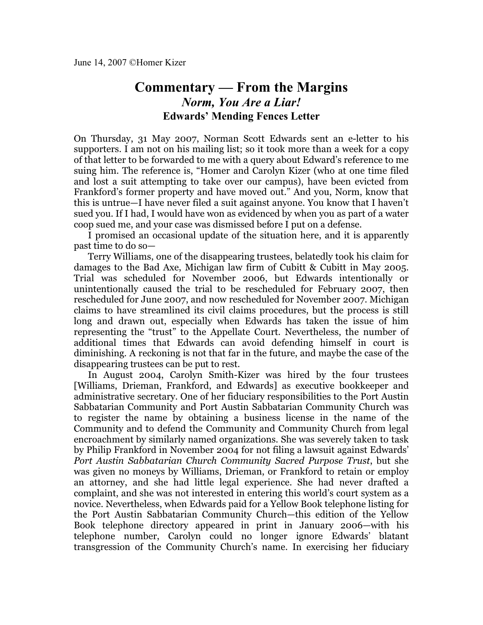## **Commentary — From the Margins** *Norm, You Are a Liar!* **Edwards' Mending Fences Letter**

On Thursday, 31 May 2007, Norman Scott Edwards sent an e-letter to his supporters. I am not on his mailing list; so it took more than a week for a copy of that letter to be forwarded to me with a query about Edward's reference to me suing him. The reference is, "Homer and Carolyn Kizer (who at one time filed and lost a suit attempting to take over our campus), have been evicted from Frankford's former property and have moved out." And you, Norm, know that this is untrue—I have never filed a suit against anyone. You know that I haven't sued you. If I had, I would have won as evidenced by when you as part of a water coop sued me, and your case was dismissed before I put on a defense.

I promised an occasional update of the situation here, and it is apparently past time to do so—

Terry Williams, one of the disappearing trustees, belatedly took his claim for damages to the Bad Axe, Michigan law firm of Cubitt & Cubitt in May 2005. Trial was scheduled for November 2006, but Edwards intentionally or unintentionally caused the trial to be rescheduled for February 2007, then rescheduled for June 2007, and now rescheduled for November 2007. Michigan claims to have streamlined its civil claims procedures, but the process is still long and drawn out, especially when Edwards has taken the issue of him representing the "trust" to the Appellate Court. Nevertheless, the number of additional times that Edwards can avoid defending himself in court is diminishing. A reckoning is not that far in the future, and maybe the case of the disappearing trustees can be put to rest.

In August 2004, Carolyn Smith-Kizer was hired by the four trustees [Williams, Drieman, Frankford, and Edwards] as executive bookkeeper and administrative secretary. One of her fiduciary responsibilities to the Port Austin Sabbatarian Community and Port Austin Sabbatarian Community Church was to register the name by obtaining a business license in the name of the Community and to defend the Community and Community Church from legal encroachment by similarly named organizations. She was severely taken to task by Philip Frankford in November 2004 for not filing a lawsuit against Edwards' *Port Austin Sabbatarian Church Community Sacred Purpose Trust*, but she was given no moneys by Williams, Drieman, or Frankford to retain or employ an attorney, and she had little legal experience. She had never drafted a complaint, and she was not interested in entering this world's court system as a novice. Nevertheless, when Edwards paid for a Yellow Book telephone listing for the Port Austin Sabbatarian Community Church—this edition of the Yellow Book telephone directory appeared in print in January 2006—with his telephone number, Carolyn could no longer ignore Edwards' blatant transgression of the Community Church's name. In exercising her fiduciary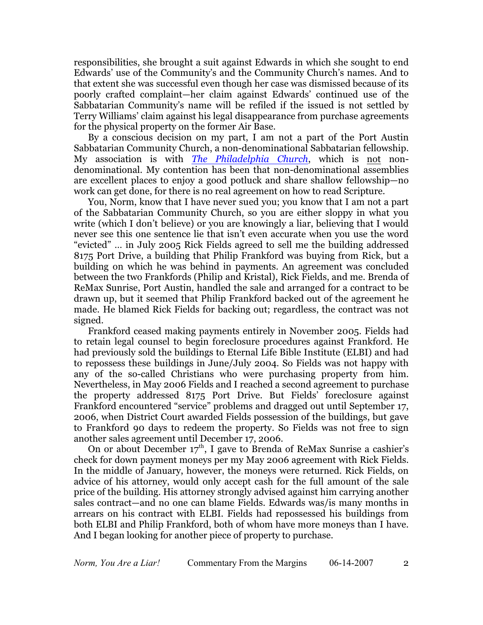responsibilities, she brought a suit against Edwards in which she sought to end Edwards' use of the Community's and the Community Church's names. And to that extent she was successful even though her case was dismissed because of its poorly crafted complaint—her claim against Edwards' continued use of the Sabbatarian Community's name will be refiled if the issued is not settled by Terry Williams' claim against his legal disappearance from purchase agreements for the physical property on the former Air Base.

By a conscious decision on my part, I am not a part of the Port Austin Sabbatarian Community Church, a non-denominational Sabbatarian fellowship. My association is with *[The Philadelphia Church](http://thephiladelphiachurch.org/)*, which is not nondenominational. My contention has been that non-denominational assemblies are excellent places to enjoy a good potluck and share shallow fellowship—no work can get done, for there is no real agreement on how to read Scripture.

You, Norm, know that I have never sued you; you know that I am not a part of the Sabbatarian Community Church, so you are either sloppy in what you write (which I don't believe) or you are knowingly a liar, believing that I would never see this one sentence lie that isn't even accurate when you use the word "evicted" … in July 2005 Rick Fields agreed to sell me the building addressed 8175 Port Drive, a building that Philip Frankford was buying from Rick, but a building on which he was behind in payments. An agreement was concluded between the two Frankfords (Philip and Kristal), Rick Fields, and me. Brenda of ReMax Sunrise, Port Austin, handled the sale and arranged for a contract to be drawn up, but it seemed that Philip Frankford backed out of the agreement he made. He blamed Rick Fields for backing out; regardless, the contract was not signed.

Frankford ceased making payments entirely in November 2005. Fields had to retain legal counsel to begin foreclosure procedures against Frankford. He had previously sold the buildings to Eternal Life Bible Institute (ELBI) and had to repossess these buildings in June/July 2004. So Fields was not happy with any of the so-called Christians who were purchasing property from him. Nevertheless, in May 2006 Fields and I reached a second agreement to purchase the property addressed 8175 Port Drive. But Fields' foreclosure against Frankford encountered "service" problems and dragged out until September 17, 2006, when District Court awarded Fields possession of the buildings, but gave to Frankford 90 days to redeem the property. So Fields was not free to sign another sales agreement until December 17, 2006.

On or about December 17<sup>th</sup>, I gave to Brenda of ReMax Sunrise a cashier's check for down payment moneys per my May 2006 agreement with Rick Fields. In the middle of January, however, the moneys were returned. Rick Fields, on advice of his attorney, would only accept cash for the full amount of the sale price of the building. His attorney strongly advised against him carrying another sales contract—and no one can blame Fields. Edwards was/is many months in arrears on his contract with ELBI. Fields had repossessed his buildings from both ELBI and Philip Frankford, both of whom have more moneys than I have. And I began looking for another piece of property to purchase.